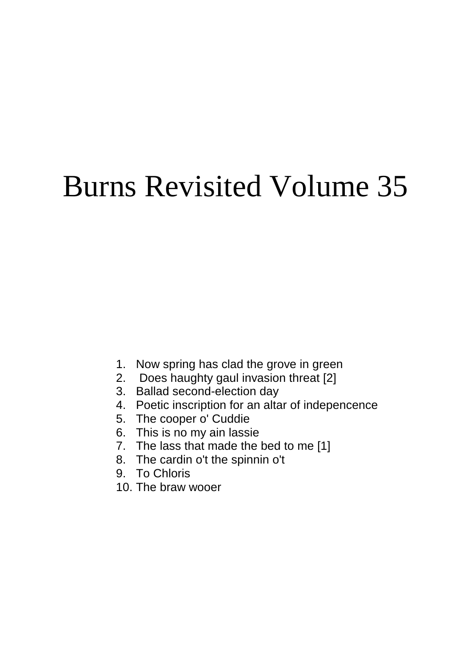# Burns Revisited Volume 35

- 1. Now spring has clad the grove in green
- 2. Does haughty gaul invasion threat [2]
- 3. Ballad second-election day
- 4. Poetic inscription for an altar of indepencence
- 5. The cooper o' Cuddie
- 6. This is no my ain lassie
- 7. The lass that made the bed to me [1]
- 8. The cardin o't the spinnin o't
- 9. To Chloris
- 10. The braw wooer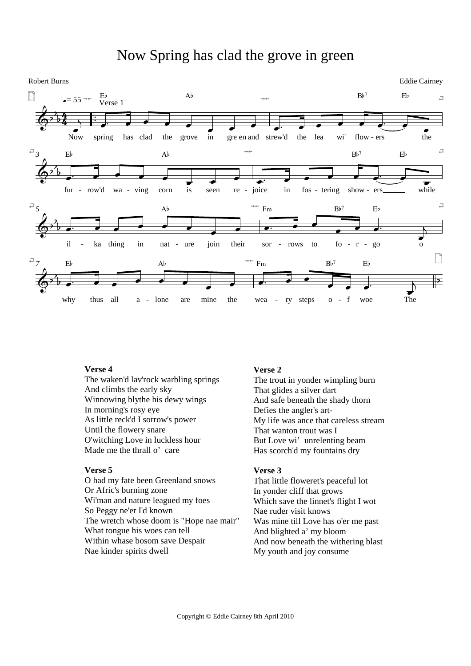# Now Spring has clad the grove in green



#### **Verse 4**

The waken'd lav'rock warbling springs And climbs the early sky Winnowing blythe his dewy wings In morning's rosy eye As little reck'd I sorrow's power Until the flowery snare O'witching Love in luckless hour Made me the thrall o' care

## **Verse 5**

O had my fate been Greenland snows Or Afric's burning zone Wi'man and nature leagued my foes So Peggy ne'er I'd known The wretch whose doom is "Hope nae mair" What tongue his woes can tell Within whase bosom save Despair Nae kinder spirits dwell

#### **Verse 2**

The trout in yonder wimpling burn That glides a silver dart And safe beneath the shady thorn Defies the angler's art-My life was ance that careless stream That wanton trout was I But Love wi' unrelenting beam Has scorch'd my fountains dry

# **Verse 3**

That little floweret's peaceful lot In yonder cliff that grows Which save the linnet's flight I wot Nae ruder visit knows Was mine till Love has o'er me past And blighted a' my bloom And now beneath the withering blast My youth and joy consume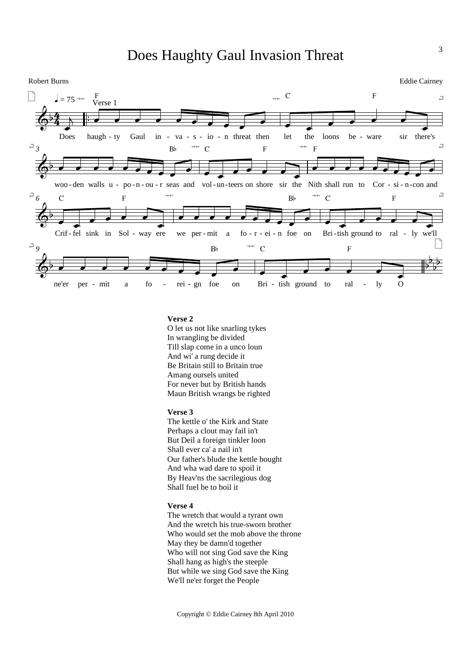# Does Haughty Gaul Invasion Threat



### **Verse 2**

O let us not like snarling tykes In wrangling be divided Till slap come in a unco loun And wi' a rung decide it Be Britain still to Britain true Amang oursels united For never but by British hands Maun British wrangs be righted

#### **Verse 3**

The kettle o' the Kirk and State Perhaps a clout may fail in't But Deil a foreign tinkler loon Shall ever ca' a nail in't Our father's blude the kettle bought And wha wad dare to spoil it By Heav'ns the sacrilegious dog Shall fuel be to boil it

#### **Verse 4**

The wretch that would a tyrant own And the wretch his true-sworn brother Who would set the mob above the throne May they be damn'd together Who will not sing God save the King Shall hang as high's the steeple But while we sing God save the King We'll ne'er forget the People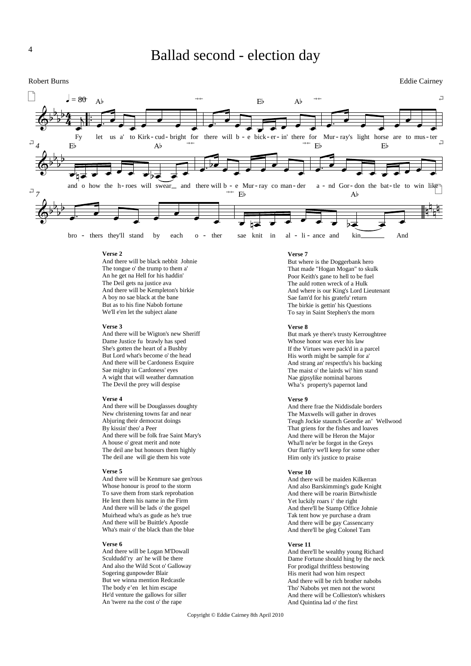

#### **Verse 2**

And there will be black nebbit Johnie The tongue o' the trump to them a' An he get na Hell for his haddin' The Deil gets na justice ava And there will be Kempleton's birkie A boy no sae black at the bane But as to his fine Nabob fortune We'll e'en let the subject alane

#### **Verse 3**

And there will be Wigton's new Sheriff Dame Justice fu brawly has sped She's gotten the heart of a Bushby But Lord what's become o' the head And there will be Cardoness Esquire Sae mighty in Cardoness' eyes A wight that will weather damnation The Devil the prey will despise

#### **Verse 4**

And there will be Douglasses doughty New christening towns far and near Abjuring their democrat doings By kissin' theo' a Peer And there will be folk frae Saint Mary's A house o' great merit and note The deil ane but honours them highly The deil ane will gie them his vote

#### **Verse 5**

And there will be Kenmure sae gen'rous Whose honour is proof to the storm To save them from stark reprobation He lent them his name in the Firm And there will be lads o' the gospel Muirhead wha's as gude as he's true And there will be Buittle's Apostle Wha's mair o' the black than the blue

#### **Verse 6**

And there will be Logan M'Dowall Sculdudd'ry an' he will be there And also the Wild Scot o' Galloway Sogering gunpowder Blair But we winna mention Redcastle The body e'en let him escape He'd venture the gallows for siller An 'twere na the cost o' the rape

#### **Verse 7**

But where is the Doggerbank hero That made "Hogan Mogan" to skulk Poor Keith's gane to hell to be fuel The auld rotten wreck of a Hulk And where is our King's Lord Lieutenant Sae fam'd for his gratefu' return The birkie is gettin' his Questions To say in Saint Stephen's the morn

#### **Verse 8**

But mark ye there's trusty Kerroughtree Whose honor was ever his law If the Virtues were pack'd in a parcel His worth might be sample for a' And strang an' respectfu's his backing The maist o' the lairds wi' him stand Nae gipsylike nominal barons Wha's property's papernot land

#### **Verse 9**

And there frae the Niddisdale borders The Maxwells will gather in droves Teugh Jockie staunch Geordie an' Wellwood That griens for the fishes and loaves And there will be Heron the Major Wha'll ne'er be forgot in the Greys Our flatt'ry we'll keep for some other Him only it's justice to praise

#### **Verse 10**

And there will be maiden Kilkerran And also Barskimming's gude Knight And there will be roarin Birtwhistle Yet luckily roars i' the right And there'll be Stamp Office Johnie Tak tent how ye purchase a dram And there will be gay Cassencarry And there'll be gleg Colonel Tam

#### **Verse 11**

And there'll be wealthy young Richard Dame Fortune should hing by the neck For prodigal thriftless bestowing His merit had won him respect And there will be rich brother nabobs Tho' Nabobs yet men not the worst And there will be Collieston's whiskers And Quintina lad o' the first

Copyright © Eddie Cairney 8th April 2010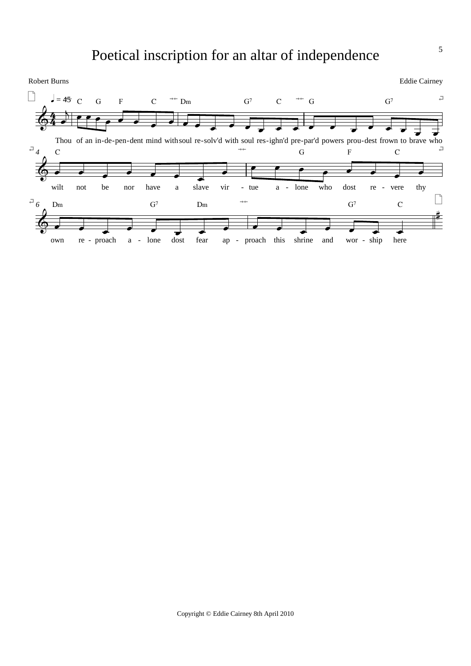# Poetical inscription for an altar of independence

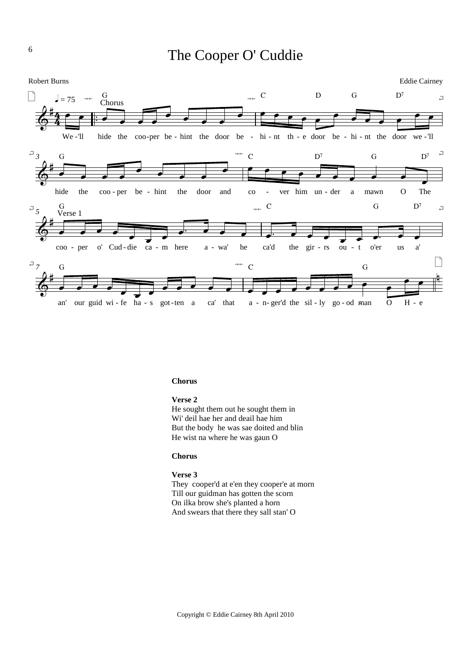# The Cooper O' Cuddie



#### **Chorus**

#### **Verse 2**

He sought them out he sought them in Wi' deil hae her and deail hae him But the body he was sae doited and blin He wist na where he was gaun O

#### **Chorus**

#### **Verse 3**

They cooper'd at e'en they cooper'e at morn Till our guidman has gotten the scorn On ilka brow she's planted a horn And swears that there they sall stan' O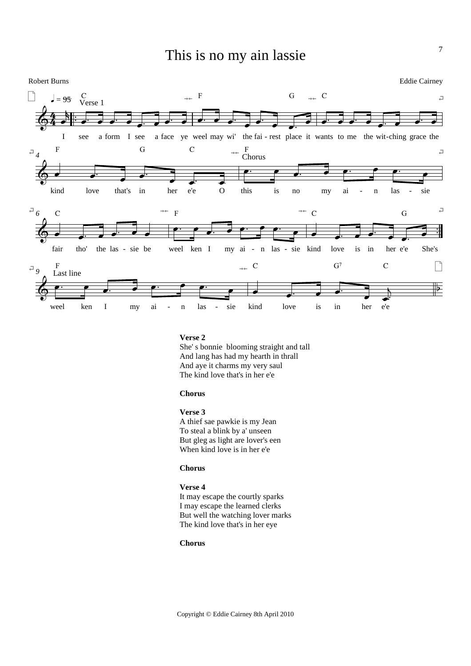# This is no my ain lassie



#### **Verse 2**

She' s bonnie blooming straight and tall And lang has had my hearth in thrall And aye it charms my very saul The kind love that's in her e'e

## **Chorus**

#### **Verse 3**

A thief sae pawkie is my Jean To steal a blink by a' unseen But gleg as light are lover's een When kind love is in her e'e

#### **Chorus**

#### **Verse 4**

It may escape the courtly sparks I may escape the learned clerks But well the watching lover marks The kind love that's in her eye

#### **Chorus**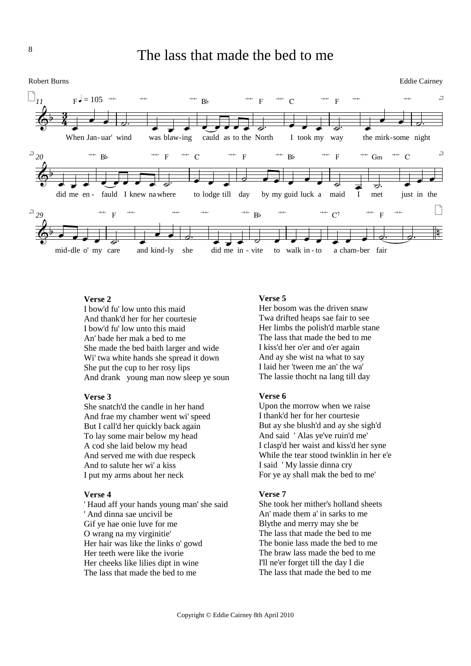



# **Verse 2**

I bow'd fu' low unto this maid And thank'd her for her courtesie I bow'd fu' low unto this maid An' bade her mak a bed to me She made the bed baith larger and wide Wi' twa white hands she spread it down She put the cup to her rosy lips And drank young man now sleep ye soun

## **Verse 3**

She snatch'd the candle in her hand And frae my chamber went wi' speed But I call'd her quickly back again To lay some mair below my head A cod she laid below my head And served me with due respeck And to salute her wi' a kiss I put my arms about her neck

#### **Verse 4**

' Haud aff your hands young man' she said ' And dinna sae uncivil be Gif ye hae onie luve for me O wrang na my virginitie' Her hair was like the links o' gowd Her teeth were like the ivorie Her cheeks like lilies dipt in wine The lass that made the bed to me

## **Verse 5**

Her bosom was the driven snaw Twa drifted heaps sae fair to see Her limbs the polish'd marble stane The lass that made the bed to me I kiss'd her o'er and o'er again And ay she wist na what to say I laid her 'tween me an' the wa' The lassie thocht na lang till day

## **Verse 6**

Upon the morrow when we raise I thank'd her for her courtesie But ay she blush'd and ay she sigh'd And said ' Alas ye've ruin'd me' I clasp'd her waist and kiss'd her syne While the tear stood twinklin in her e'e I said ' My lassie dinna cry For ye ay shall mak the bed to me'

#### **Verse 7**

She took her mither's holland sheets An' made them a' in sarks to me Blythe and merry may she be The lass that made the bed to me The bonie lass made the bed to me The braw lass made the bed to me I'll ne'er forget till the day I die The lass that made the bed to me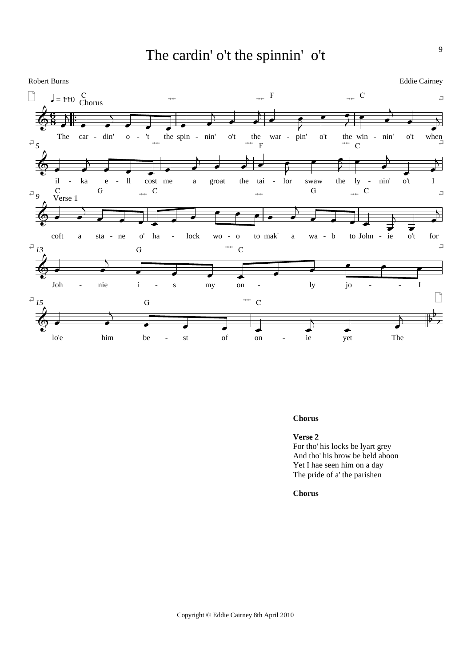The cardin' o't the spinnin' o't



#### **Chorus**

**Verse 2** For tho' his locks be lyart grey And tho' his brow be beld aboon Yet I hae seen him on a day The pride of a' the parishen

**Chorus**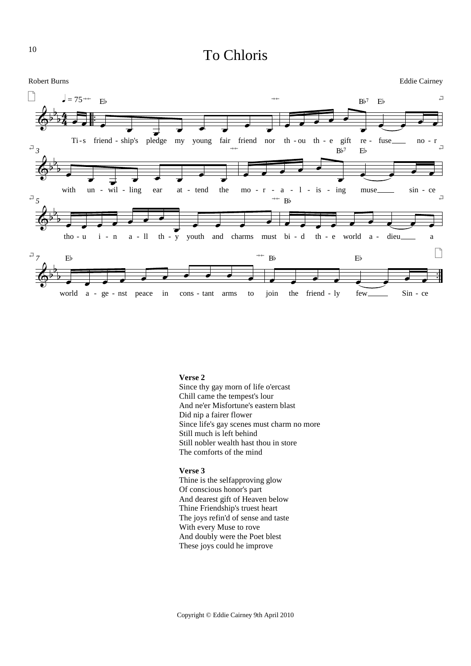# To Chloris



#### **Verse 2**

Since thy gay morn of life o'ercast Chill came the tempest's lour And ne'er Misfortune's eastern blast Did nip a fairer flower Since life's gay scenes must charm no more Still much is left behind Still nobler wealth hast thou in store The comforts of the mind

#### **Verse 3**

Thine is the selfapproving glow Of conscious honor's part And dearest gift of Heaven below Thine Friendship's truest heart The joys refin'd of sense and taste With every Muse to rove And doubly were the Poet blest These joys could he improve

10